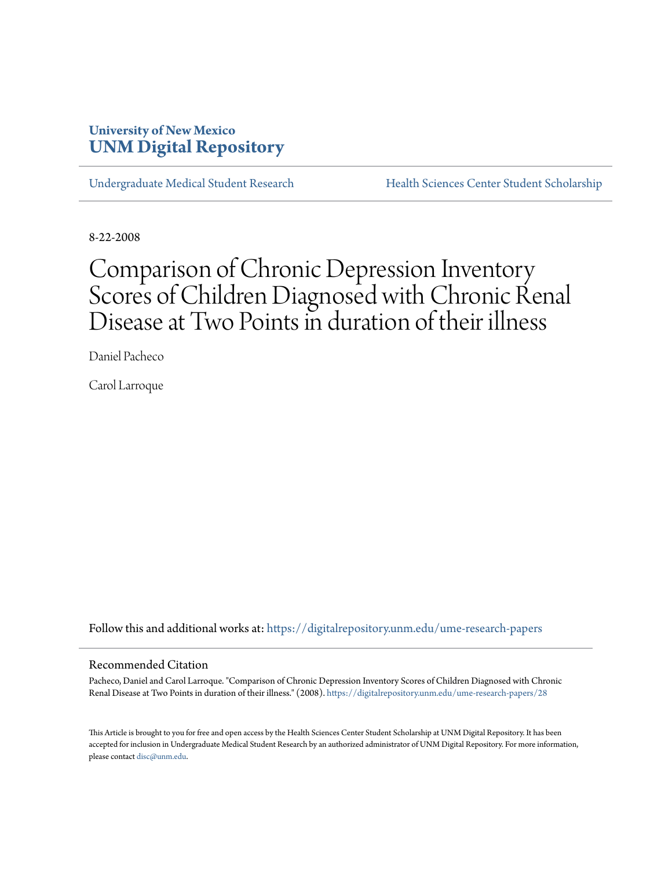# **University of New Mexico [UNM Digital Repository](https://digitalrepository.unm.edu?utm_source=digitalrepository.unm.edu%2Fume-research-papers%2F28&utm_medium=PDF&utm_campaign=PDFCoverPages)**

[Undergraduate Medical Student Research](https://digitalrepository.unm.edu/ume-research-papers?utm_source=digitalrepository.unm.edu%2Fume-research-papers%2F28&utm_medium=PDF&utm_campaign=PDFCoverPages) [Health Sciences Center Student Scholarship](https://digitalrepository.unm.edu/hsc-students?utm_source=digitalrepository.unm.edu%2Fume-research-papers%2F28&utm_medium=PDF&utm_campaign=PDFCoverPages)

8-22-2008

# Comparison of Chronic Depression Inventory Scores of Children Diagnosed with Chronic Renal Disease at Two Points in duration of their illness

Daniel Pacheco

Carol Larroque

Follow this and additional works at: [https://digitalrepository.unm.edu/ume-research-papers](https://digitalrepository.unm.edu/ume-research-papers?utm_source=digitalrepository.unm.edu%2Fume-research-papers%2F28&utm_medium=PDF&utm_campaign=PDFCoverPages)

#### Recommended Citation

Pacheco, Daniel and Carol Larroque. "Comparison of Chronic Depression Inventory Scores of Children Diagnosed with Chronic Renal Disease at Two Points in duration of their illness." (2008). [https://digitalrepository.unm.edu/ume-research-papers/28](https://digitalrepository.unm.edu/ume-research-papers/28?utm_source=digitalrepository.unm.edu%2Fume-research-papers%2F28&utm_medium=PDF&utm_campaign=PDFCoverPages)

This Article is brought to you for free and open access by the Health Sciences Center Student Scholarship at UNM Digital Repository. It has been accepted for inclusion in Undergraduate Medical Student Research by an authorized administrator of UNM Digital Repository. For more information, please contact [disc@unm.edu.](mailto:disc@unm.edu)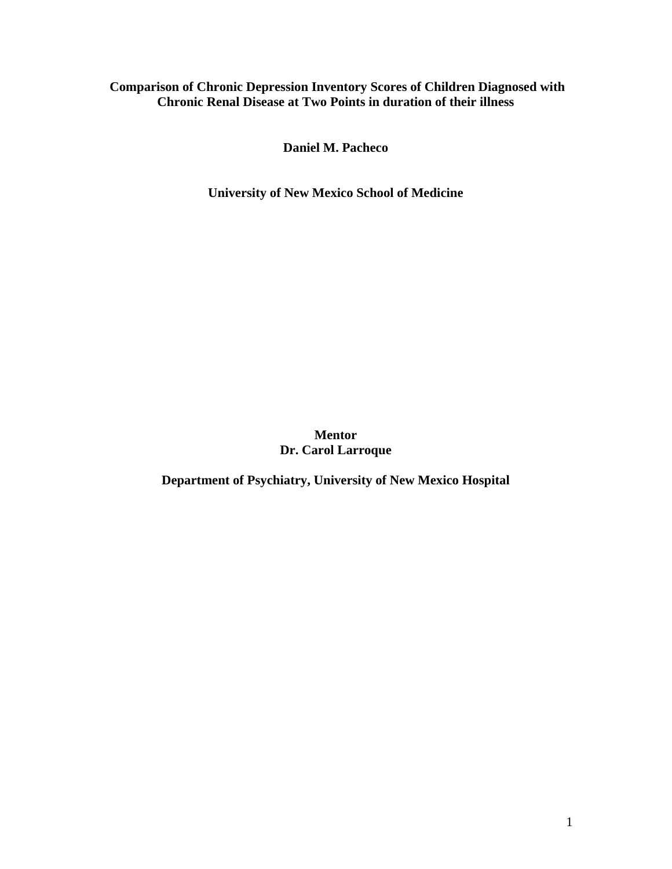# **Comparison of Chronic Depression Inventory Scores of Children Diagnosed with Chronic Renal Disease at Two Points in duration of their illness**

**Daniel M. Pacheco** 

**University of New Mexico School of Medicine** 

**Mentor Dr. Carol Larroque** 

**Department of Psychiatry, University of New Mexico Hospital**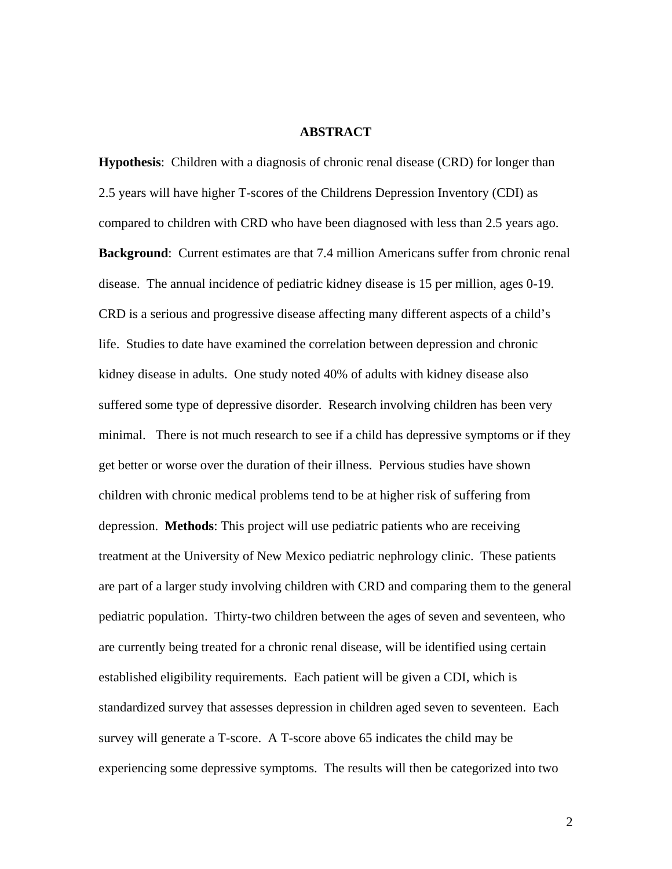## **ABSTRACT**

**Hypothesis**: Children with a diagnosis of chronic renal disease (CRD) for longer than 2.5 years will have higher T-scores of the Childrens Depression Inventory (CDI) as compared to children with CRD who have been diagnosed with less than 2.5 years ago. **Background**: Current estimates are that 7.4 million Americans suffer from chronic renal disease. The annual incidence of pediatric kidney disease is 15 per million, ages 0-19. CRD is a serious and progressive disease affecting many different aspects of a child's life. Studies to date have examined the correlation between depression and chronic kidney disease in adults. One study noted 40% of adults with kidney disease also suffered some type of depressive disorder. Research involving children has been very minimal. There is not much research to see if a child has depressive symptoms or if they get better or worse over the duration of their illness. Pervious studies have shown children with chronic medical problems tend to be at higher risk of suffering from depression. **Methods**: This project will use pediatric patients who are receiving treatment at the University of New Mexico pediatric nephrology clinic. These patients are part of a larger study involving children with CRD and comparing them to the general pediatric population. Thirty-two children between the ages of seven and seventeen, who are currently being treated for a chronic renal disease, will be identified using certain established eligibility requirements. Each patient will be given a CDI, which is standardized survey that assesses depression in children aged seven to seventeen. Each survey will generate a T-score. A T-score above 65 indicates the child may be experiencing some depressive symptoms. The results will then be categorized into two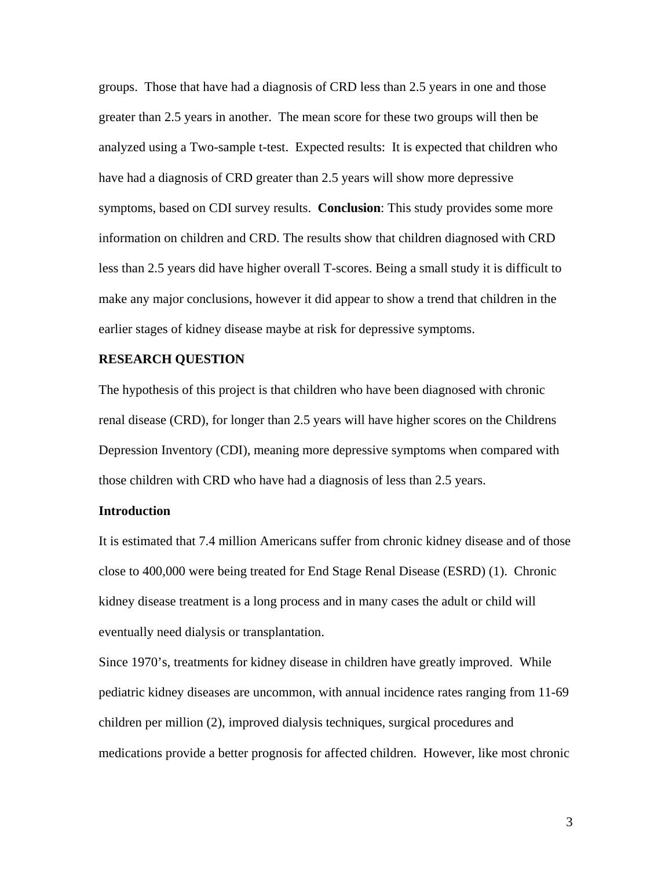groups. Those that have had a diagnosis of CRD less than 2.5 years in one and those greater than 2.5 years in another. The mean score for these two groups will then be analyzed using a Two-sample t-test. Expected results: It is expected that children who have had a diagnosis of CRD greater than 2.5 years will show more depressive symptoms, based on CDI survey results. **Conclusion**: This study provides some more information on children and CRD. The results show that children diagnosed with CRD less than 2.5 years did have higher overall T-scores. Being a small study it is difficult to make any major conclusions, however it did appear to show a trend that children in the earlier stages of kidney disease maybe at risk for depressive symptoms.

# **RESEARCH QUESTION**

The hypothesis of this project is that children who have been diagnosed with chronic renal disease (CRD), for longer than 2.5 years will have higher scores on the Childrens Depression Inventory (CDI), meaning more depressive symptoms when compared with those children with CRD who have had a diagnosis of less than 2.5 years.

# **Introduction**

It is estimated that 7.4 million Americans suffer from chronic kidney disease and of those close to 400,000 were being treated for End Stage Renal Disease (ESRD) (1). Chronic kidney disease treatment is a long process and in many cases the adult or child will eventually need dialysis or transplantation.

Since 1970's, treatments for kidney disease in children have greatly improved. While pediatric kidney diseases are uncommon, with annual incidence rates ranging from 11-69 children per million (2), improved dialysis techniques, surgical procedures and medications provide a better prognosis for affected children. However, like most chronic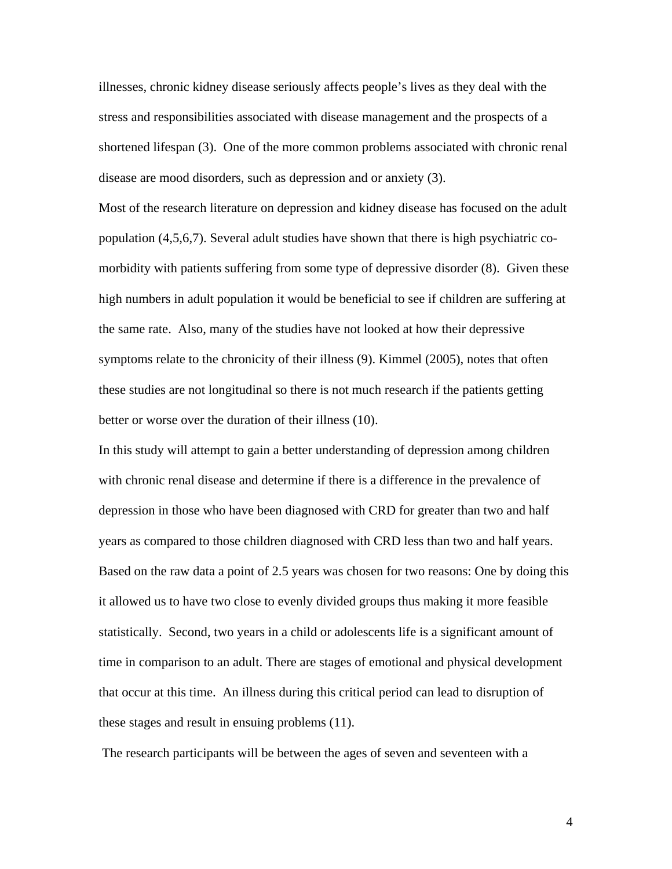illnesses, chronic kidney disease seriously affects people's lives as they deal with the stress and responsibilities associated with disease management and the prospects of a shortened lifespan (3). One of the more common problems associated with chronic renal disease are mood disorders, such as depression and or anxiety (3).

Most of the research literature on depression and kidney disease has focused on the adult population (4,5,6,7). Several adult studies have shown that there is high psychiatric comorbidity with patients suffering from some type of depressive disorder (8). Given these high numbers in adult population it would be beneficial to see if children are suffering at the same rate. Also, many of the studies have not looked at how their depressive symptoms relate to the chronicity of their illness (9). Kimmel (2005), notes that often these studies are not longitudinal so there is not much research if the patients getting better or worse over the duration of their illness (10).

In this study will attempt to gain a better understanding of depression among children with chronic renal disease and determine if there is a difference in the prevalence of depression in those who have been diagnosed with CRD for greater than two and half years as compared to those children diagnosed with CRD less than two and half years. Based on the raw data a point of 2.5 years was chosen for two reasons: One by doing this it allowed us to have two close to evenly divided groups thus making it more feasible statistically. Second, two years in a child or adolescents life is a significant amount of time in comparison to an adult. There are stages of emotional and physical development that occur at this time. An illness during this critical period can lead to disruption of these stages and result in ensuing problems (11).

The research participants will be between the ages of seven and seventeen with a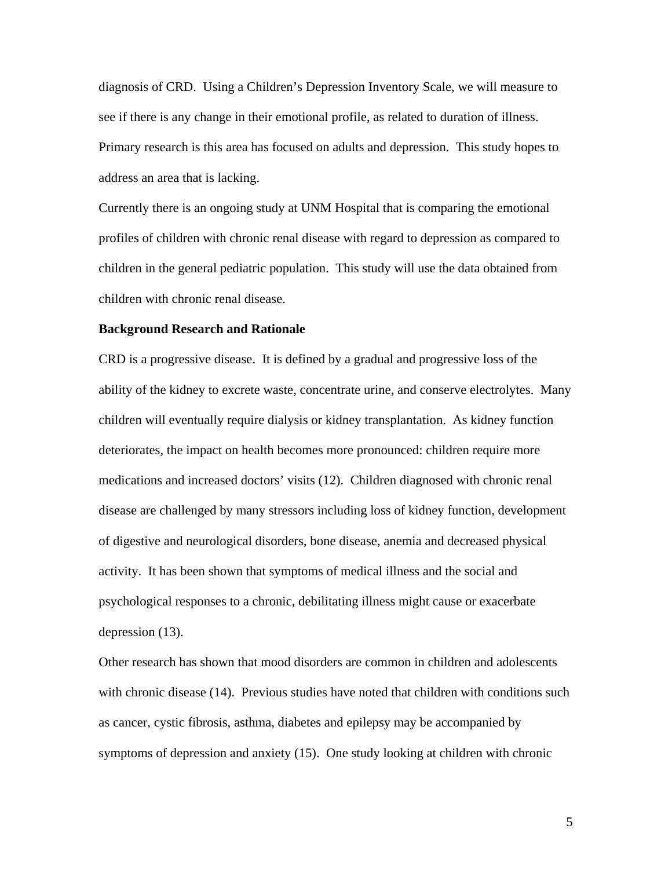diagnosis of CRD. Using a Children's Depression Inventory Scale, we will measure to see if there is any change in their emotional profile, as related to duration of illness. Primary research is this area has focused on adults and depression. This study hopes to address an area that is lacking.

Currently there is an ongoing study at UNM Hospital that is comparing the emotional profiles of children with chronic renal disease with regard to depression as compared to children in the general pediatric population. This study will use the data obtained from children with chronic renal disease.

#### **Background Research and Rationale**

CRD is a progressive disease. It is defined by a gradual and progressive loss of the ability of the kidney to excrete waste, concentrate urine, and conserve electrolytes. Many children will eventually require dialysis or kidney transplantation. As kidney function deteriorates, the impact on health becomes more pronounced: children require more medications and increased doctors' visits (12). Children diagnosed with chronic renal disease are challenged by many stressors including loss of kidney function, development of digestive and neurological disorders, bone disease, anemia and decreased physical activity. It has been shown that symptoms of medical illness and the social and psychological responses to a chronic, debilitating illness might cause or exacerbate depression (13).

Other research has shown that mood disorders are common in children and adolescents with chronic disease (14). Previous studies have noted that children with conditions such as cancer, cystic fibrosis, asthma, diabetes and epilepsy may be accompanied by symptoms of depression and anxiety (15). One study looking at children with chronic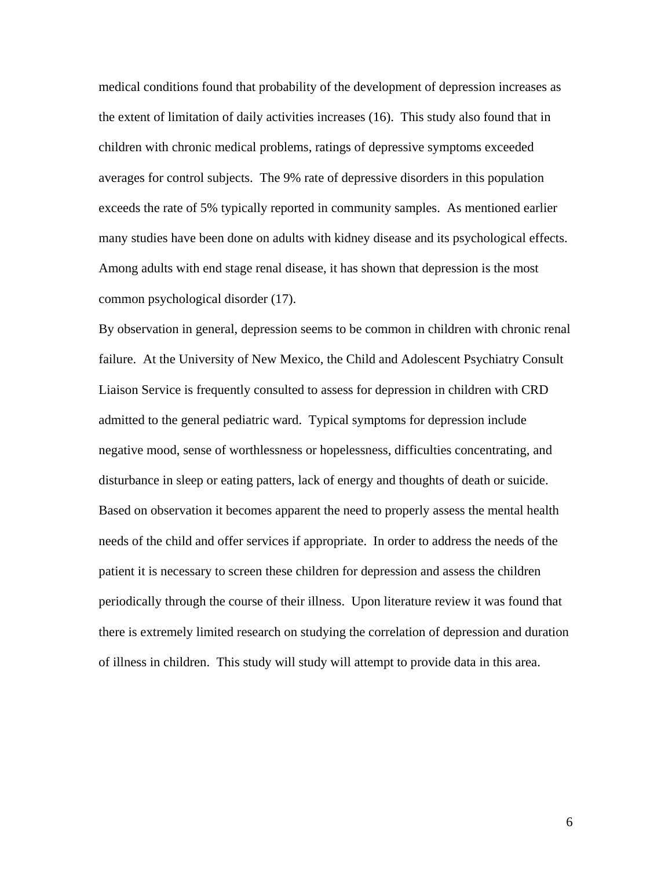medical conditions found that probability of the development of depression increases as the extent of limitation of daily activities increases (16). This study also found that in children with chronic medical problems, ratings of depressive symptoms exceeded averages for control subjects. The 9% rate of depressive disorders in this population exceeds the rate of 5% typically reported in community samples. As mentioned earlier many studies have been done on adults with kidney disease and its psychological effects. Among adults with end stage renal disease, it has shown that depression is the most common psychological disorder (17).

By observation in general, depression seems to be common in children with chronic renal failure. At the University of New Mexico, the Child and Adolescent Psychiatry Consult Liaison Service is frequently consulted to assess for depression in children with CRD admitted to the general pediatric ward. Typical symptoms for depression include negative mood, sense of worthlessness or hopelessness, difficulties concentrating, and disturbance in sleep or eating patters, lack of energy and thoughts of death or suicide. Based on observation it becomes apparent the need to properly assess the mental health needs of the child and offer services if appropriate. In order to address the needs of the patient it is necessary to screen these children for depression and assess the children periodically through the course of their illness. Upon literature review it was found that there is extremely limited research on studying the correlation of depression and duration of illness in children. This study will study will attempt to provide data in this area.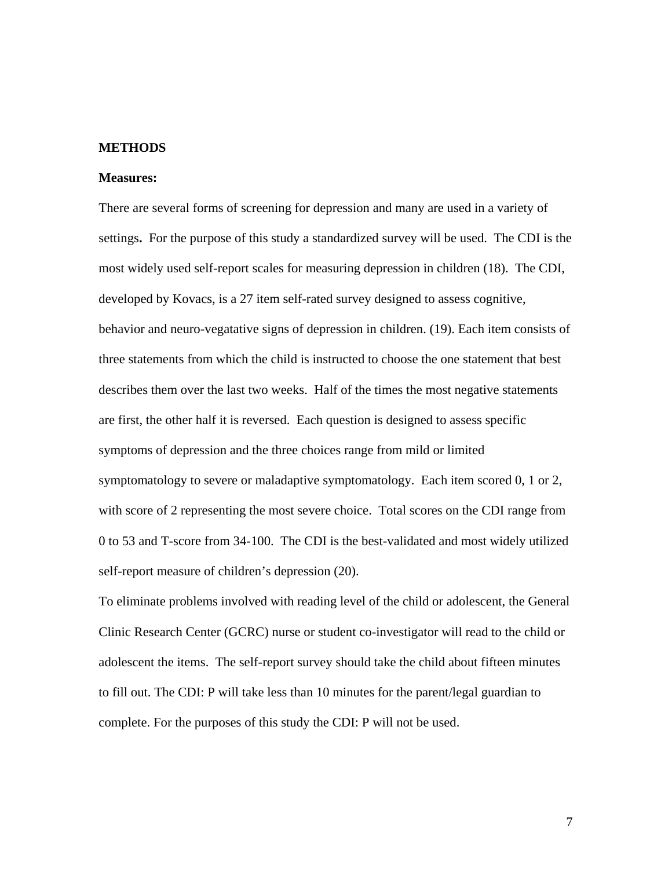# **METHODS**

#### **Measures:**

There are several forms of screening for depression and many are used in a variety of settings**.** For the purpose of this study a standardized survey will be used. The CDI is the most widely used self-report scales for measuring depression in children (18). The CDI, developed by Kovacs, is a 27 item self-rated survey designed to assess cognitive, behavior and neuro-vegatative signs of depression in children. (19). Each item consists of three statements from which the child is instructed to choose the one statement that best describes them over the last two weeks. Half of the times the most negative statements are first, the other half it is reversed. Each question is designed to assess specific symptoms of depression and the three choices range from mild or limited symptomatology to severe or maladaptive symptomatology. Each item scored 0, 1 or 2, with score of 2 representing the most severe choice. Total scores on the CDI range from 0 to 53 and T-score from 34-100. The CDI is the best-validated and most widely utilized self-report measure of children's depression (20).

To eliminate problems involved with reading level of the child or adolescent, the General Clinic Research Center (GCRC) nurse or student co-investigator will read to the child or adolescent the items. The self-report survey should take the child about fifteen minutes to fill out. The CDI: P will take less than 10 minutes for the parent/legal guardian to complete. For the purposes of this study the CDI: P will not be used.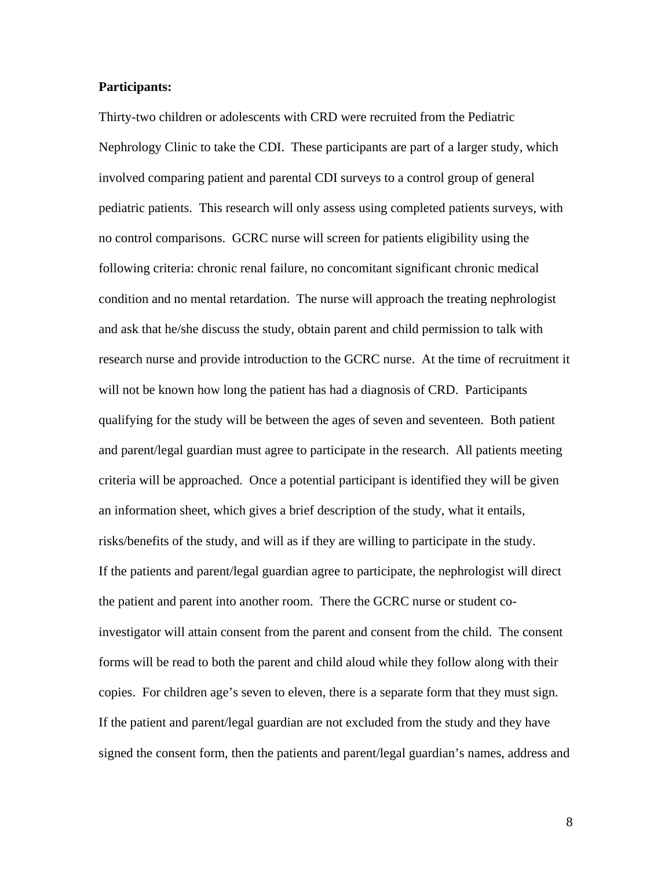# **Participants:**

Thirty-two children or adolescents with CRD were recruited from the Pediatric Nephrology Clinic to take the CDI. These participants are part of a larger study, which involved comparing patient and parental CDI surveys to a control group of general pediatric patients. This research will only assess using completed patients surveys, with no control comparisons. GCRC nurse will screen for patients eligibility using the following criteria: chronic renal failure, no concomitant significant chronic medical condition and no mental retardation. The nurse will approach the treating nephrologist and ask that he/she discuss the study, obtain parent and child permission to talk with research nurse and provide introduction to the GCRC nurse. At the time of recruitment it will not be known how long the patient has had a diagnosis of CRD. Participants qualifying for the study will be between the ages of seven and seventeen. Both patient and parent/legal guardian must agree to participate in the research. All patients meeting criteria will be approached. Once a potential participant is identified they will be given an information sheet, which gives a brief description of the study, what it entails, risks/benefits of the study, and will as if they are willing to participate in the study. If the patients and parent/legal guardian agree to participate, the nephrologist will direct the patient and parent into another room. There the GCRC nurse or student coinvestigator will attain consent from the parent and consent from the child. The consent forms will be read to both the parent and child aloud while they follow along with their copies. For children age's seven to eleven, there is a separate form that they must sign. If the patient and parent/legal guardian are not excluded from the study and they have signed the consent form, then the patients and parent/legal guardian's names, address and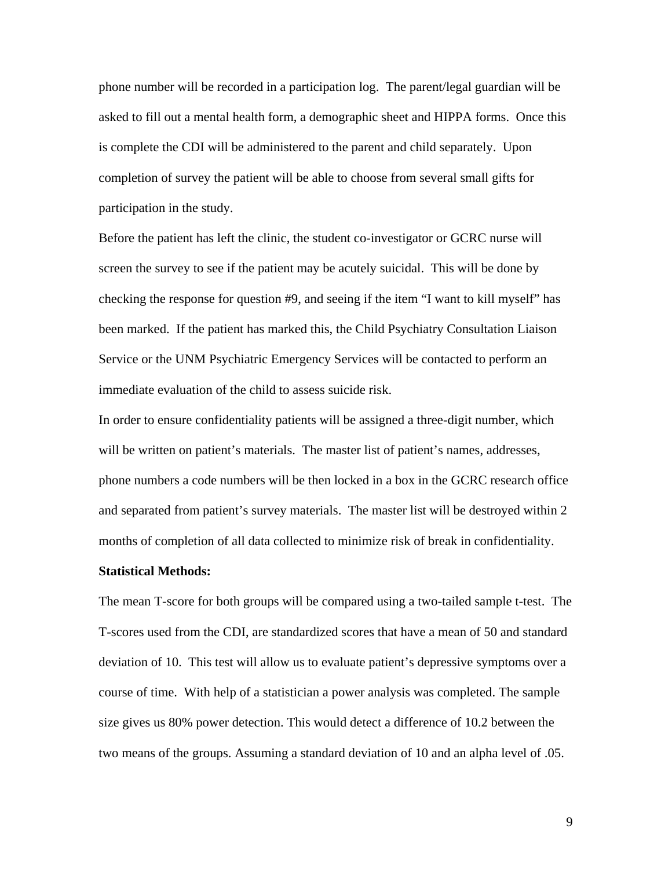phone number will be recorded in a participation log. The parent/legal guardian will be asked to fill out a mental health form, a demographic sheet and HIPPA forms. Once this is complete the CDI will be administered to the parent and child separately. Upon completion of survey the patient will be able to choose from several small gifts for participation in the study.

Before the patient has left the clinic, the student co-investigator or GCRC nurse will screen the survey to see if the patient may be acutely suicidal. This will be done by checking the response for question #9, and seeing if the item "I want to kill myself" has been marked. If the patient has marked this, the Child Psychiatry Consultation Liaison Service or the UNM Psychiatric Emergency Services will be contacted to perform an immediate evaluation of the child to assess suicide risk.

In order to ensure confidentiality patients will be assigned a three-digit number, which will be written on patient's materials. The master list of patient's names, addresses, phone numbers a code numbers will be then locked in a box in the GCRC research office and separated from patient's survey materials. The master list will be destroyed within 2 months of completion of all data collected to minimize risk of break in confidentiality.

#### **Statistical Methods:**

The mean T-score for both groups will be compared using a two-tailed sample t-test. The T-scores used from the CDI, are standardized scores that have a mean of 50 and standard deviation of 10. This test will allow us to evaluate patient's depressive symptoms over a course of time. With help of a statistician a power analysis was completed. The sample size gives us 80% power detection. This would detect a difference of 10.2 between the two means of the groups. Assuming a standard deviation of 10 and an alpha level of .05.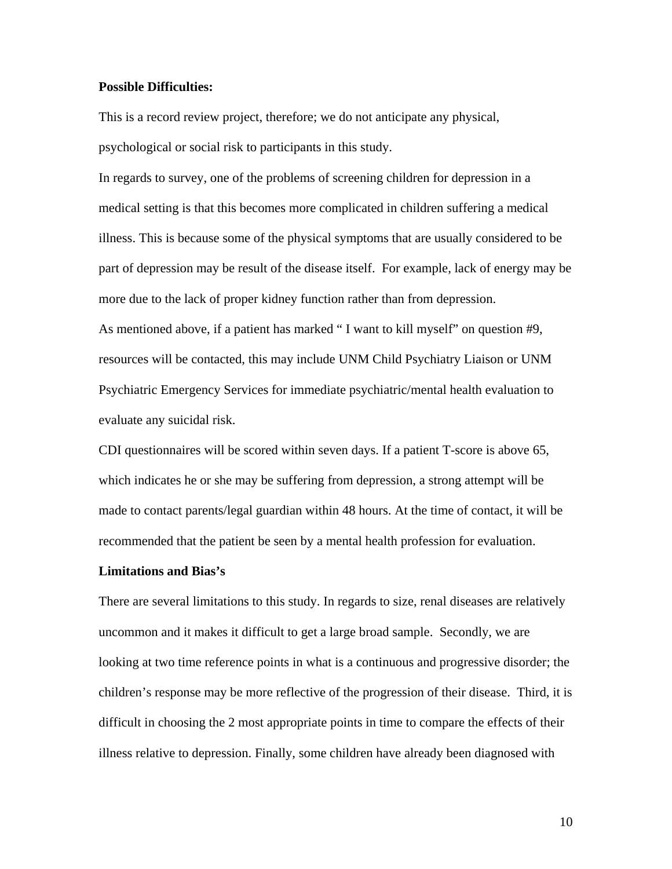# **Possible Difficulties:**

This is a record review project, therefore; we do not anticipate any physical, psychological or social risk to participants in this study.

In regards to survey, one of the problems of screening children for depression in a medical setting is that this becomes more complicated in children suffering a medical illness. This is because some of the physical symptoms that are usually considered to be part of depression may be result of the disease itself. For example, lack of energy may be more due to the lack of proper kidney function rather than from depression. As mentioned above, if a patient has marked " I want to kill myself" on question #9, resources will be contacted, this may include UNM Child Psychiatry Liaison or UNM Psychiatric Emergency Services for immediate psychiatric/mental health evaluation to evaluate any suicidal risk.

CDI questionnaires will be scored within seven days. If a patient T-score is above 65, which indicates he or she may be suffering from depression, a strong attempt will be made to contact parents/legal guardian within 48 hours. At the time of contact, it will be recommended that the patient be seen by a mental health profession for evaluation.

#### **Limitations and Bias's**

There are several limitations to this study. In regards to size, renal diseases are relatively uncommon and it makes it difficult to get a large broad sample. Secondly, we are looking at two time reference points in what is a continuous and progressive disorder; the children's response may be more reflective of the progression of their disease. Third, it is difficult in choosing the 2 most appropriate points in time to compare the effects of their illness relative to depression. Finally, some children have already been diagnosed with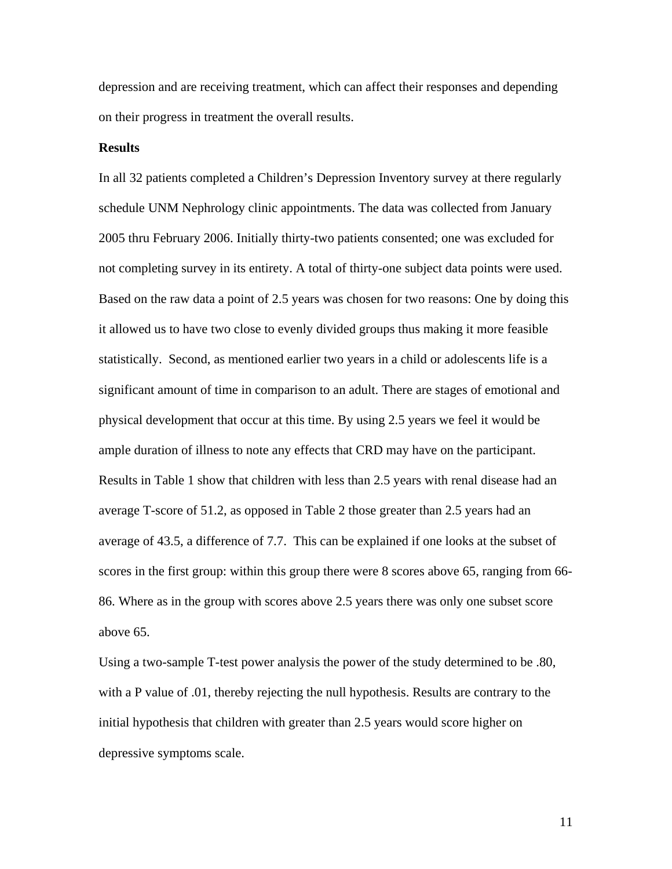depression and are receiving treatment, which can affect their responses and depending on their progress in treatment the overall results.

## **Results**

In all 32 patients completed a Children's Depression Inventory survey at there regularly schedule UNM Nephrology clinic appointments. The data was collected from January 2005 thru February 2006. Initially thirty-two patients consented; one was excluded for not completing survey in its entirety. A total of thirty-one subject data points were used. Based on the raw data a point of 2.5 years was chosen for two reasons: One by doing this it allowed us to have two close to evenly divided groups thus making it more feasible statistically. Second, as mentioned earlier two years in a child or adolescents life is a significant amount of time in comparison to an adult. There are stages of emotional and physical development that occur at this time. By using 2.5 years we feel it would be ample duration of illness to note any effects that CRD may have on the participant. Results in Table 1 show that children with less than 2.5 years with renal disease had an average T-score of 51.2, as opposed in Table 2 those greater than 2.5 years had an average of 43.5, a difference of 7.7. This can be explained if one looks at the subset of scores in the first group: within this group there were 8 scores above 65, ranging from 66-86. Where as in the group with scores above 2.5 years there was only one subset score above 65.

Using a two-sample T-test power analysis the power of the study determined to be .80, with a P value of .01, thereby rejecting the null hypothesis. Results are contrary to the initial hypothesis that children with greater than 2.5 years would score higher on depressive symptoms scale.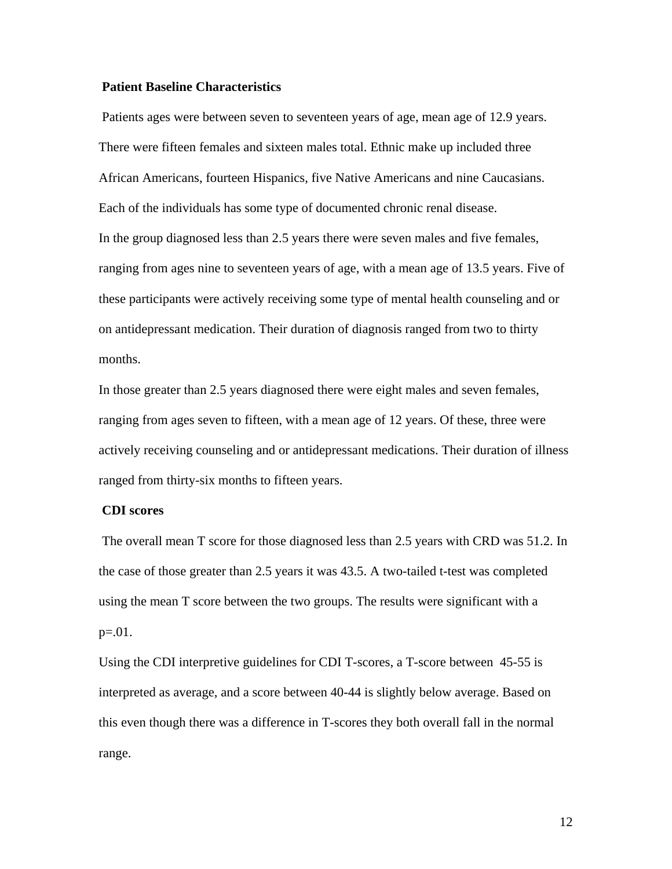# **Patient Baseline Characteristics**

 Patients ages were between seven to seventeen years of age, mean age of 12.9 years. There were fifteen females and sixteen males total. Ethnic make up included three African Americans, fourteen Hispanics, five Native Americans and nine Caucasians. Each of the individuals has some type of documented chronic renal disease. In the group diagnosed less than 2.5 years there were seven males and five females, ranging from ages nine to seventeen years of age, with a mean age of 13.5 years. Five of these participants were actively receiving some type of mental health counseling and or on antidepressant medication. Their duration of diagnosis ranged from two to thirty months.

In those greater than 2.5 years diagnosed there were eight males and seven females, ranging from ages seven to fifteen, with a mean age of 12 years. Of these, three were actively receiving counseling and or antidepressant medications. Their duration of illness ranged from thirty-six months to fifteen years.

# **CDI scores**

 The overall mean T score for those diagnosed less than 2.5 years with CRD was 51.2. In the case of those greater than 2.5 years it was 43.5. A two-tailed t-test was completed using the mean T score between the two groups. The results were significant with a p=.01.

Using the CDI interpretive guidelines for CDI T-scores, a T-score between 45-55 is interpreted as average, and a score between 40-44 is slightly below average. Based on this even though there was a difference in T-scores they both overall fall in the normal range.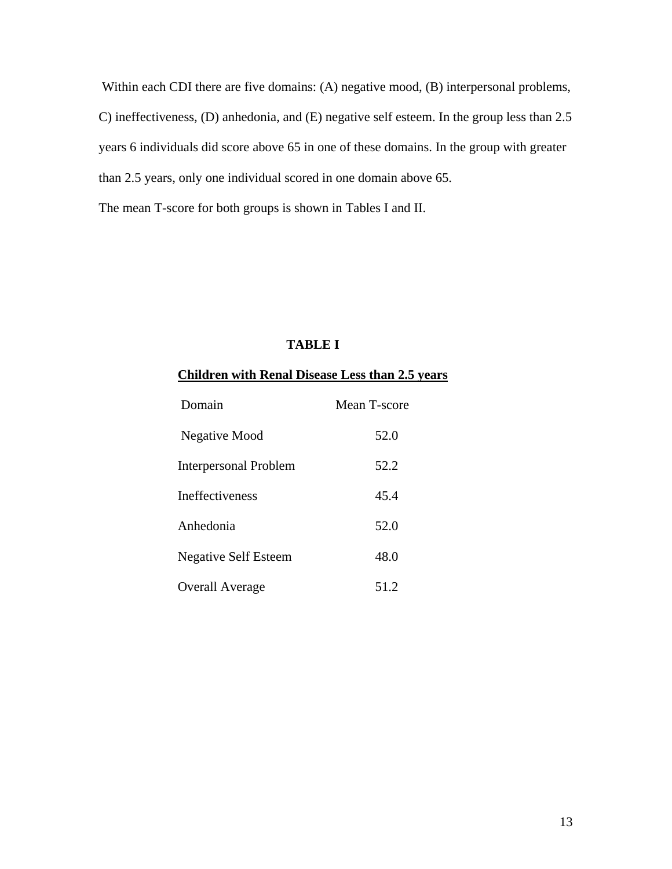Within each CDI there are five domains: (A) negative mood, (B) interpersonal problems, C) ineffectiveness, (D) anhedonia, and (E) negative self esteem. In the group less than 2.5 years 6 individuals did score above 65 in one of these domains. In the group with greater than 2.5 years, only one individual scored in one domain above 65.

The mean T-score for both groups is shown in Tables I and II.

# **TABLE I**

# **Children with Renal Disease Less than 2.5 years**

| Domain                       | Mean T-score |
|------------------------------|--------------|
| Negative Mood                | 52.0         |
| <b>Interpersonal Problem</b> | 52.2         |
| <b>Ineffectiveness</b>       | 45.4         |
| Anhedonia                    | 52.0         |
| <b>Negative Self Esteem</b>  | 48.0         |
| <b>Overall Average</b>       | 51.2         |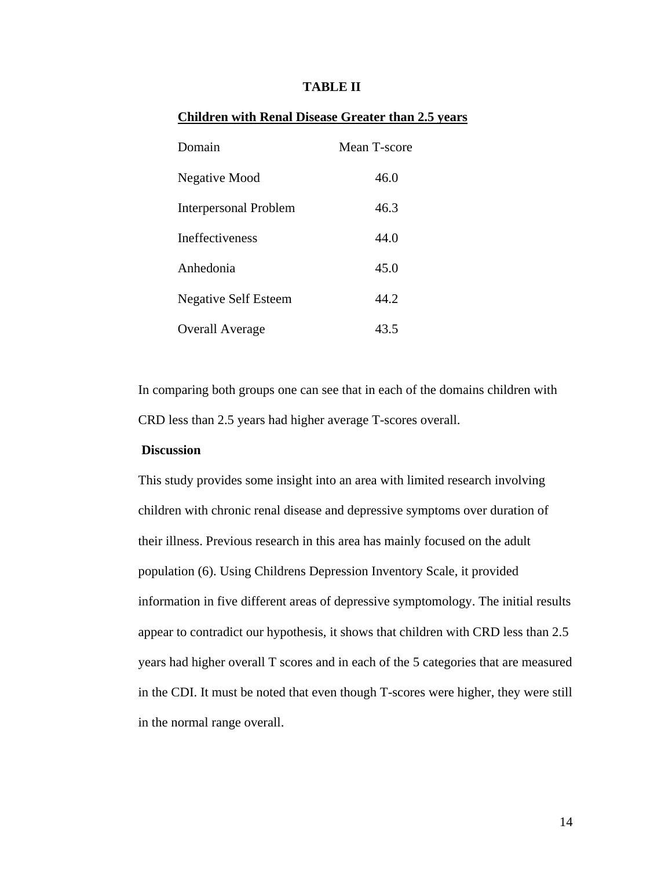# **TABLE II**

# **Children with Renal Disease Greater than 2.5 years**

| Domain                       | Mean T-score |
|------------------------------|--------------|
| Negative Mood                | 46.0         |
| <b>Interpersonal Problem</b> | 46.3         |
| <b>Ineffectiveness</b>       | 44.0         |
| Anhedonia                    | 45.0         |
| <b>Negative Self Esteem</b>  | 44.2         |
| <b>Overall Average</b>       | 43.5         |

In comparing both groups one can see that in each of the domains children with CRD less than 2.5 years had higher average T-scores overall.

# **Discussion**

This study provides some insight into an area with limited research involving children with chronic renal disease and depressive symptoms over duration of their illness. Previous research in this area has mainly focused on the adult population (6). Using Childrens Depression Inventory Scale, it provided information in five different areas of depressive symptomology. The initial results appear to contradict our hypothesis, it shows that children with CRD less than 2.5 years had higher overall T scores and in each of the 5 categories that are measured in the CDI. It must be noted that even though T-scores were higher, they were still in the normal range overall.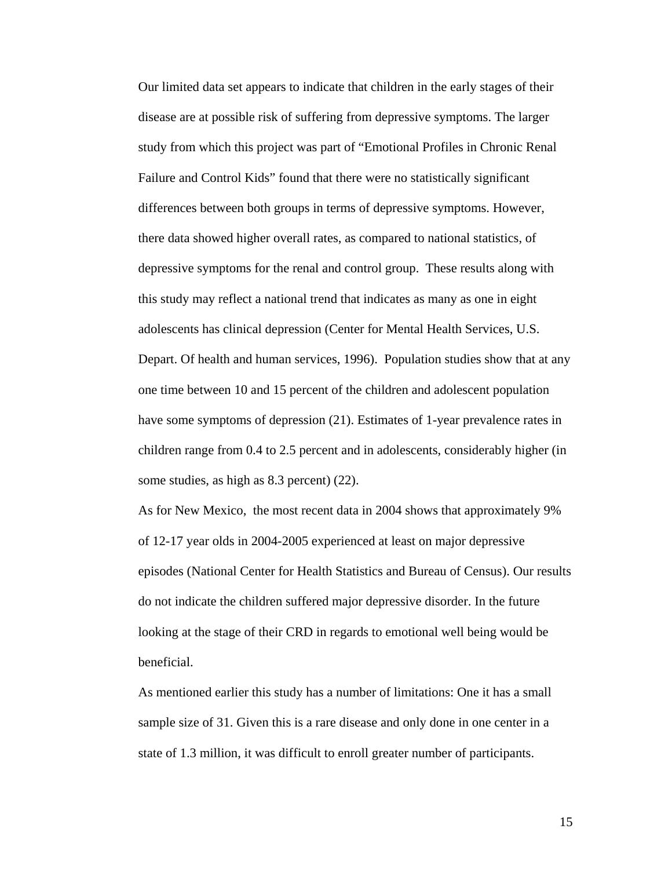Our limited data set appears to indicate that children in the early stages of their disease are at possible risk of suffering from depressive symptoms. The larger study from which this project was part of "Emotional Profiles in Chronic Renal Failure and Control Kids" found that there were no statistically significant differences between both groups in terms of depressive symptoms. However, there data showed higher overall rates, as compared to national statistics, of depressive symptoms for the renal and control group. These results along with this study may reflect a national trend that indicates as many as one in eight adolescents has clinical depression (Center for Mental Health Services, U.S. Depart. Of health and human services, 1996). Population studies show that at any one time between 10 and 15 percent of the children and adolescent population have some symptoms of depression (21). Estimates of 1-year prevalence rates in children range from 0.4 to 2.5 percent and in adolescents, considerably higher (in some studies, as high as 8.3 percent) (22).

As for New Mexico, the most recent data in 2004 shows that approximately 9% of 12-17 year olds in 2004-2005 experienced at least on major depressive episodes (National Center for Health Statistics and Bureau of Census). Our results do not indicate the children suffered major depressive disorder. In the future looking at the stage of their CRD in regards to emotional well being would be beneficial.

As mentioned earlier this study has a number of limitations: One it has a small sample size of 31. Given this is a rare disease and only done in one center in a state of 1.3 million, it was difficult to enroll greater number of participants.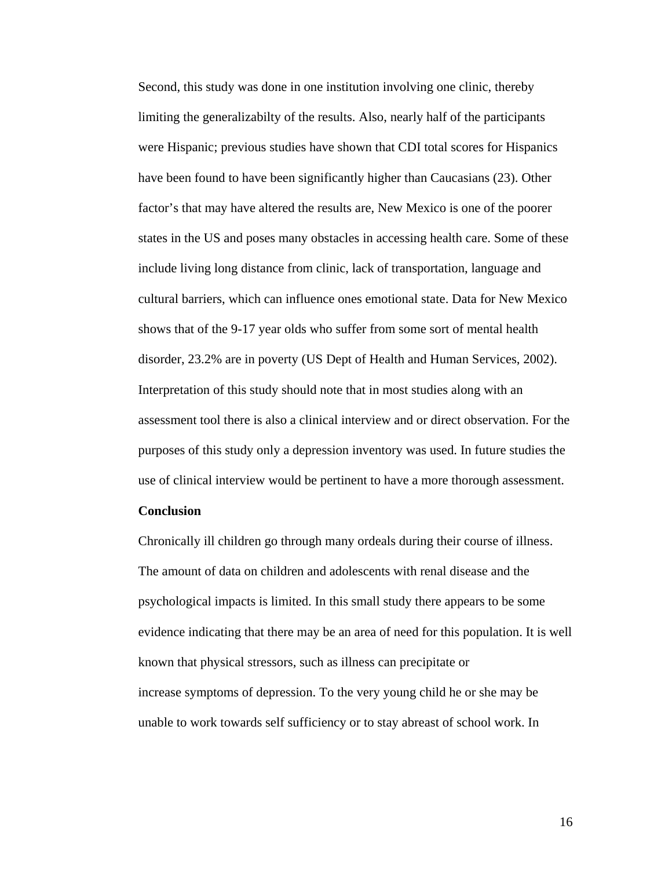Second, this study was done in one institution involving one clinic, thereby limiting the generalizabilty of the results. Also, nearly half of the participants were Hispanic; previous studies have shown that CDI total scores for Hispanics have been found to have been significantly higher than Caucasians (23). Other factor's that may have altered the results are, New Mexico is one of the poorer states in the US and poses many obstacles in accessing health care. Some of these include living long distance from clinic, lack of transportation, language and cultural barriers, which can influence ones emotional state. Data for New Mexico shows that of the 9-17 year olds who suffer from some sort of mental health disorder, 23.2% are in poverty (US Dept of Health and Human Services, 2002). Interpretation of this study should note that in most studies along with an assessment tool there is also a clinical interview and or direct observation. For the purposes of this study only a depression inventory was used. In future studies the use of clinical interview would be pertinent to have a more thorough assessment.

# **Conclusion**

Chronically ill children go through many ordeals during their course of illness. The amount of data on children and adolescents with renal disease and the psychological impacts is limited. In this small study there appears to be some evidence indicating that there may be an area of need for this population. It is well known that physical stressors, such as illness can precipitate or increase symptoms of depression. To the very young child he or she may be unable to work towards self sufficiency or to stay abreast of school work. In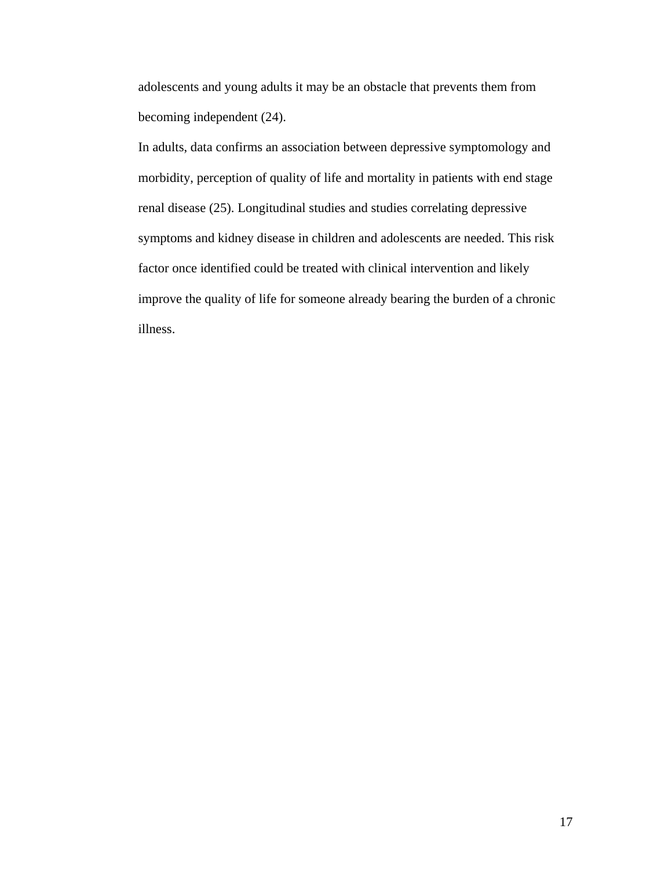adolescents and young adults it may be an obstacle that prevents them from becoming independent (24).

In adults, data confirms an association between depressive symptomology and morbidity, perception of quality of life and mortality in patients with end stage renal disease (25). Longitudinal studies and studies correlating depressive symptoms and kidney disease in children and adolescents are needed. This risk factor once identified could be treated with clinical intervention and likely improve the quality of life for someone already bearing the burden of a chronic illness.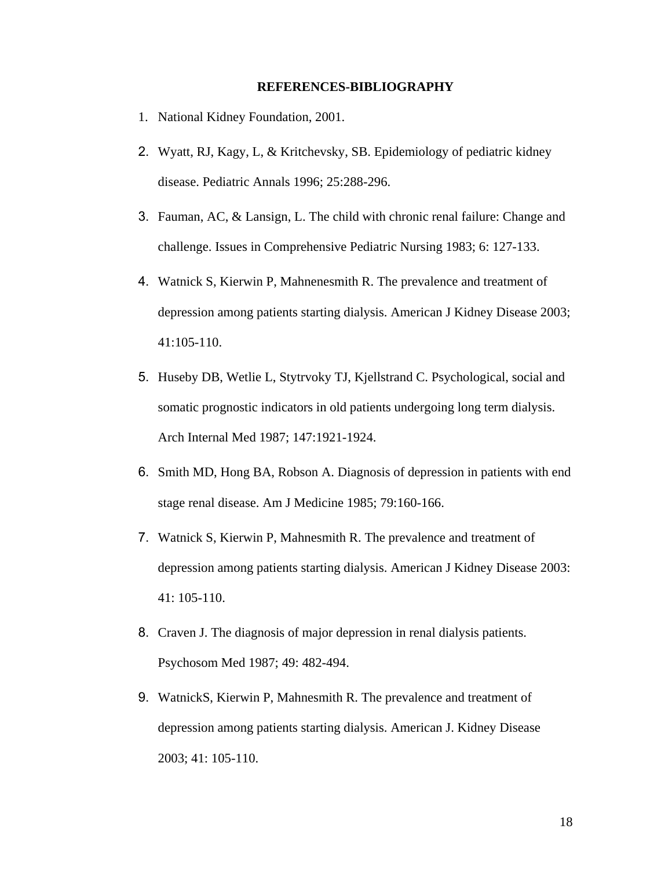#### **REFERENCES-BIBLIOGRAPHY**

- 1. National Kidney Foundation, 2001.
- 2. Wyatt, RJ, Kagy, L, & Kritchevsky, SB. Epidemiology of pediatric kidney disease. Pediatric Annals 1996; 25:288-296.
- 3. Fauman, AC, & Lansign, L. The child with chronic renal failure: Change and challenge. Issues in Comprehensive Pediatric Nursing 1983; 6: 127-133.
- 4. Watnick S, Kierwin P, Mahnenesmith R. The prevalence and treatment of depression among patients starting dialysis. American J Kidney Disease 2003; 41:105-110.
- 5. Huseby DB, Wetlie L, Stytrvoky TJ, Kjellstrand C. Psychological, social and somatic prognostic indicators in old patients undergoing long term dialysis. Arch Internal Med 1987; 147:1921-1924.
- 6. Smith MD, Hong BA, Robson A. Diagnosis of depression in patients with end stage renal disease. Am J Medicine 1985; 79:160-166.
- 7. Watnick S, Kierwin P, Mahnesmith R. The prevalence and treatment of depression among patients starting dialysis. American J Kidney Disease 2003: 41: 105-110.
- 8. Craven J. The diagnosis of major depression in renal dialysis patients. Psychosom Med 1987; 49: 482-494.
- 9. WatnickS, Kierwin P, Mahnesmith R. The prevalence and treatment of depression among patients starting dialysis. American J. Kidney Disease 2003; 41: 105-110.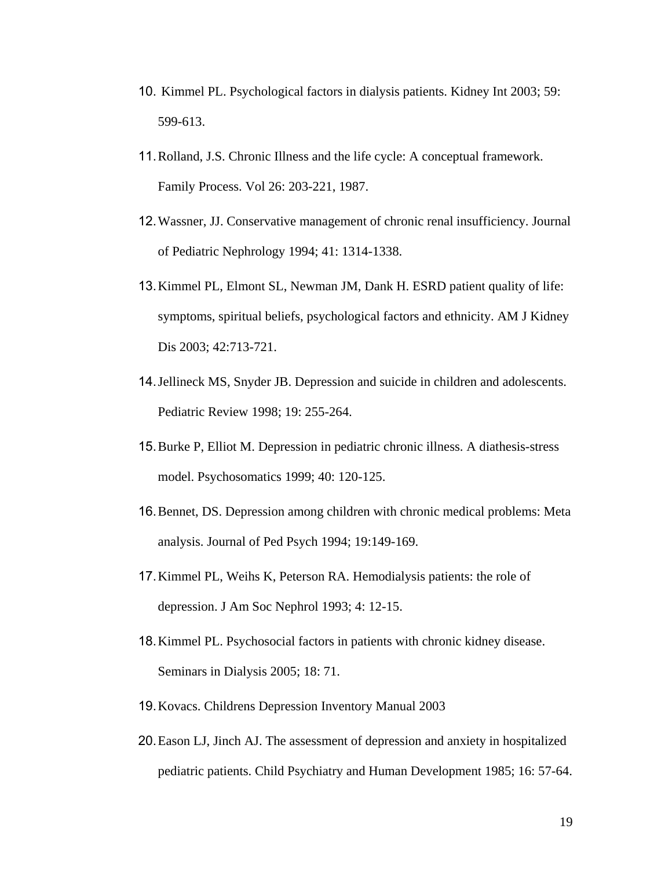- 10. Kimmel PL. Psychological factors in dialysis patients. Kidney Int 2003; 59: 599-613.
- 11.Rolland, J.S. Chronic Illness and the life cycle: A conceptual framework. Family Process. Vol 26: 203-221, 1987.
- 12.Wassner, JJ. Conservative management of chronic renal insufficiency. Journal of Pediatric Nephrology 1994; 41: 1314-1338.
- 13.Kimmel PL, Elmont SL, Newman JM, Dank H. ESRD patient quality of life: symptoms, spiritual beliefs, psychological factors and ethnicity. AM J Kidney Dis 2003; 42:713-721.
- 14.Jellineck MS, Snyder JB. Depression and suicide in children and adolescents. Pediatric Review 1998; 19: 255-264.
- 15.Burke P, Elliot M. Depression in pediatric chronic illness. A diathesis-stress model. Psychosomatics 1999; 40: 120-125.
- 16.Bennet, DS. Depression among children with chronic medical problems: Meta analysis. Journal of Ped Psych 1994; 19:149-169.
- 17.Kimmel PL, Weihs K, Peterson RA. Hemodialysis patients: the role of depression. J Am Soc Nephrol 1993; 4: 12-15.
- 18.Kimmel PL. Psychosocial factors in patients with chronic kidney disease. Seminars in Dialysis 2005; 18: 71.
- 19.Kovacs. Childrens Depression Inventory Manual 2003
- 20.Eason LJ, Jinch AJ. The assessment of depression and anxiety in hospitalized pediatric patients. Child Psychiatry and Human Development 1985; 16: 57-64.